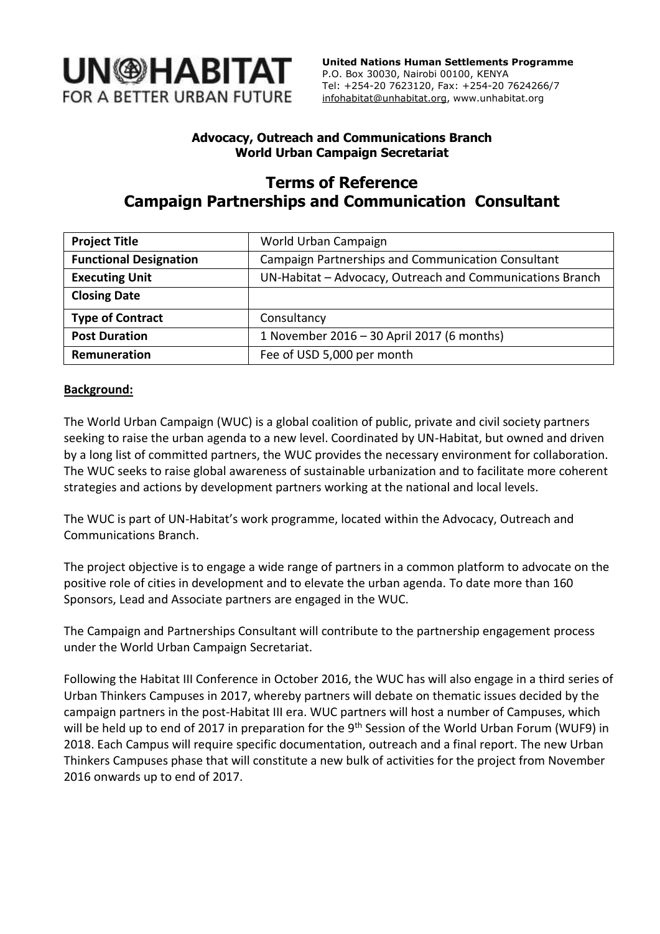

 **United Nations Human Settlements Programme** P.O. Box 30030, Nairobi 00100, KENYA Tel: +254-20 7623120, Fax: +254-20 7624266/7 [infohabitat@unhabitat.org,](mailto:infohabitat@unhabitat.org) www.unhabitat.org

## **Advocacy, Outreach and Communications Branch World Urban Campaign Secretariat**

# **Terms of Reference Campaign Partnerships and Communication Consultant**

| <b>Project Title</b>          | World Urban Campaign                                      |
|-------------------------------|-----------------------------------------------------------|
| <b>Functional Designation</b> | Campaign Partnerships and Communication Consultant        |
| <b>Executing Unit</b>         | UN-Habitat - Advocacy, Outreach and Communications Branch |
| <b>Closing Date</b>           |                                                           |
| <b>Type of Contract</b>       | Consultancy                                               |
| <b>Post Duration</b>          | 1 November 2016 - 30 April 2017 (6 months)                |
| Remuneration                  | Fee of USD 5,000 per month                                |

## **Background:**

The World Urban Campaign (WUC) is a global coalition of public, private and civil society partners seeking to raise the urban agenda to a new level. Coordinated by UN-Habitat, but owned and driven by a long list of committed partners, the WUC provides the necessary environment for collaboration. The WUC seeks to raise global awareness of sustainable urbanization and to facilitate more coherent strategies and actions by development partners working at the national and local levels.

The WUC is part of UN-Habitat's work programme, located within the Advocacy, Outreach and Communications Branch.

The project objective is to engage a wide range of partners in a common platform to advocate on the positive role of cities in development and to elevate the urban agenda. To date more than 160 Sponsors, Lead and Associate partners are engaged in the WUC.

The Campaign and Partnerships Consultant will contribute to the partnership engagement process under the World Urban Campaign Secretariat.

Following the Habitat III Conference in October 2016, the WUC has will also engage in a third series of Urban Thinkers Campuses in 2017, whereby partners will debate on thematic issues decided by the campaign partners in the post-Habitat III era. WUC partners will host a number of Campuses, which will be held up to end of 2017 in preparation for the 9<sup>th</sup> Session of the World Urban Forum (WUF9) in 2018. Each Campus will require specific documentation, outreach and a final report. The new Urban Thinkers Campuses phase that will constitute a new bulk of activities for the project from November 2016 onwards up to end of 2017.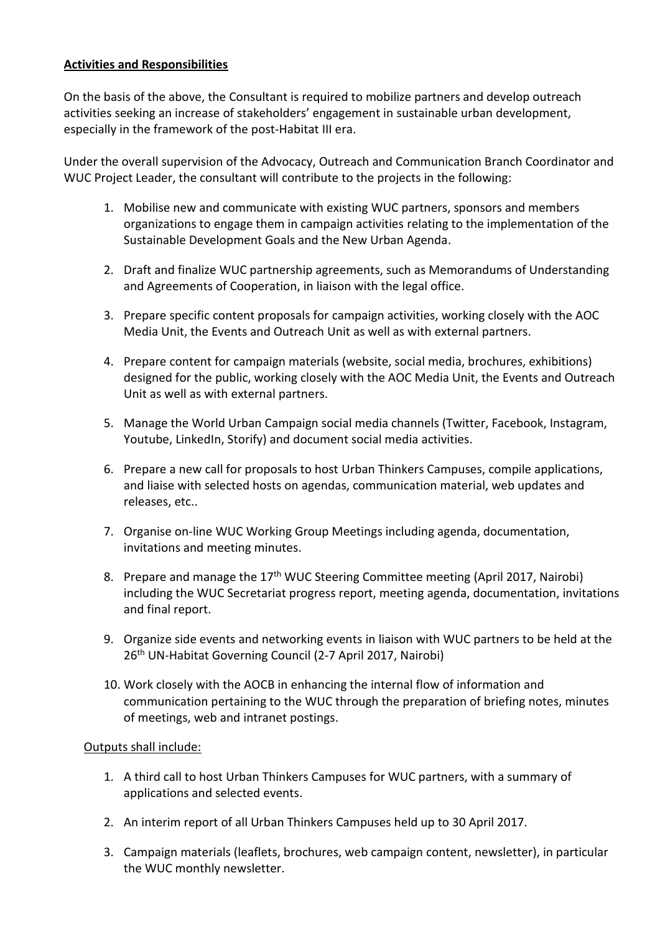### **Activities and Responsibilities**

On the basis of the above, the Consultant is required to mobilize partners and develop outreach activities seeking an increase of stakeholders' engagement in sustainable urban development, especially in the framework of the post-Habitat III era.

Under the overall supervision of the Advocacy, Outreach and Communication Branch Coordinator and WUC Project Leader, the consultant will contribute to the projects in the following:

- 1. Mobilise new and communicate with existing WUC partners, sponsors and members organizations to engage them in campaign activities relating to the implementation of the Sustainable Development Goals and the New Urban Agenda.
- 2. Draft and finalize WUC partnership agreements, such as Memorandums of Understanding and Agreements of Cooperation, in liaison with the legal office.
- 3. Prepare specific content proposals for campaign activities, working closely with the AOC Media Unit, the Events and Outreach Unit as well as with external partners.
- 4. Prepare content for campaign materials (website, social media, brochures, exhibitions) designed for the public, working closely with the AOC Media Unit, the Events and Outreach Unit as well as with external partners.
- 5. Manage the World Urban Campaign social media channels (Twitter, Facebook, Instagram, Youtube, LinkedIn, Storify) and document social media activities.
- 6. Prepare a new call for proposals to host Urban Thinkers Campuses, compile applications, and liaise with selected hosts on agendas, communication material, web updates and releases, etc..
- 7. Organise on-line WUC Working Group Meetings including agenda, documentation, invitations and meeting minutes.
- 8. Prepare and manage the 17<sup>th</sup> WUC Steering Committee meeting (April 2017, Nairobi) including the WUC Secretariat progress report, meeting agenda, documentation, invitations and final report.
- 9. Organize side events and networking events in liaison with WUC partners to be held at the 26th UN-Habitat Governing Council (2-7 April 2017, Nairobi)
- 10. Work closely with the AOCB in enhancing the internal flow of information and communication pertaining to the WUC through the preparation of briefing notes, minutes of meetings, web and intranet postings.

#### Outputs shall include:

- 1. A third call to host Urban Thinkers Campuses for WUC partners, with a summary of applications and selected events.
- 2. An interim report of all Urban Thinkers Campuses held up to 30 April 2017.
- 3. Campaign materials (leaflets, brochures, web campaign content, newsletter), in particular the WUC monthly newsletter.